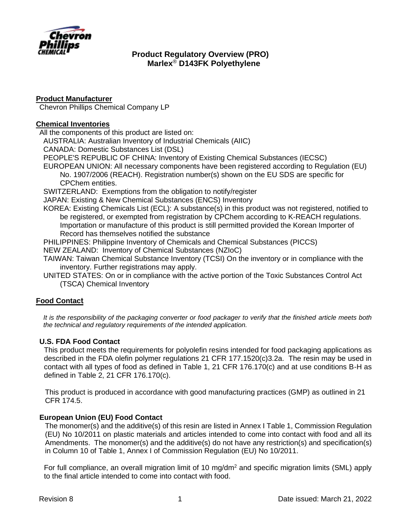

# **Product Manufacturer**

Chevron Phillips Chemical Company LP

# **Chemical Inventories**

All the components of this product are listed on:

AUSTRALIA: Australian Inventory of Industrial Chemicals (AIIC)

CANADA: Domestic Substances List (DSL)

PEOPLE'S REPUBLIC OF CHINA: Inventory of Existing Chemical Substances (IECSC)

EUROPEAN UNION: All necessary components have been registered according to Regulation (EU) No. 1907/2006 (REACH). Registration number(s) shown on the EU SDS are specific for CPChem entities.

SWITZERLAND: Exemptions from the obligation to notify/register

JAPAN: Existing & New Chemical Substances (ENCS) Inventory

KOREA: Existing Chemicals List (ECL): A substance(s) in this product was not registered, notified to be registered, or exempted from registration by CPChem according to K-REACH regulations. Importation or manufacture of this product is still permitted provided the Korean Importer of Record has themselves notified the substance

PHILIPPINES: Philippine Inventory of Chemicals and Chemical Substances (PICCS)

NEW ZEALAND: Inventory of Chemical Substances (NZIoC)

TAIWAN: Taiwan Chemical Substance Inventory (TCSI) On the inventory or in compliance with the inventory. Further registrations may apply.

UNITED STATES: On or in compliance with the active portion of the Toxic Substances Control Act (TSCA) Chemical Inventory

# **Food Contact**

*It is the responsibility of the packaging converter or food packager to verify that the finished article meets both the technical and regulatory requirements of the intended application.*

# **U.S. FDA Food Contact**

This product meets the requirements for polyolefin resins intended for food packaging applications as described in the FDA olefin polymer regulations 21 CFR 177.1520(c)3.2a. The resin may be used in contact with all types of food as defined in Table 1, 21 CFR 176.170(c) and at use conditions B-H as defined in Table 2, 21 CFR 176.170(c).

This product is produced in accordance with good manufacturing practices (GMP) as outlined in 21 CFR 174.5.

# **European Union (EU) Food Contact**

The monomer(s) and the additive(s) of this resin are listed in Annex I Table 1, Commission Regulation (EU) No 10/2011 on plastic materials and articles intended to come into contact with food and all its Amendments. The monomer(s) and the additive(s) do not have any restriction(s) and specification(s) in Column 10 of Table 1, Annex I of Commission Regulation (EU) No 10/2011.

For full compliance, an overall migration limit of 10 mg/dm<sup>2</sup> and specific migration limits (SML) apply to the final article intended to come into contact with food.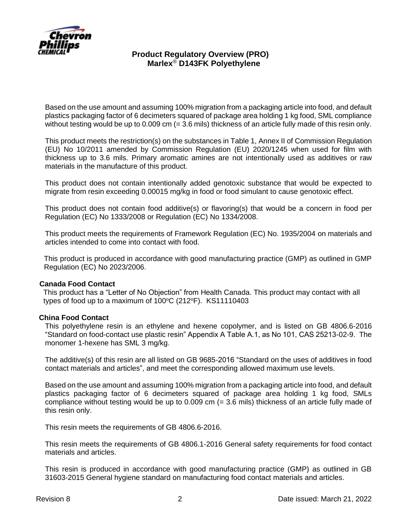

Based on the use amount and assuming 100% migration from a packaging article into food, and default plastics packaging factor of 6 decimeters squared of package area holding 1 kg food, SML compliance without testing would be up to 0.009 cm (= 3.6 mils) thickness of an article fully made of this resin only.

This product meets the restriction(s) on the substances in Table 1, Annex II of Commission Regulation (EU) No 10/2011 amended by Commission Regulation (EU) 2020/1245 when used for film with thickness up to 3.6 mils. Primary aromatic amines are not intentionally used as additives or raw materials in the manufacture of this product.

This product does not contain intentionally added genotoxic substance that would be expected to migrate from resin exceeding 0.00015 mg/kg in food or food simulant to cause genotoxic effect.

This product does not contain food additive(s) or flavoring(s) that would be a concern in food per Regulation (EC) No 1333/2008 or Regulation (EC) No 1334/2008.

This product meets the requirements of Framework Regulation (EC) No. 1935/2004 on materials and articles intended to come into contact with food.

This product is produced in accordance with good manufacturing practice (GMP) as outlined in GMP Regulation (EC) No 2023/2006.

### **Canada Food Contact**

This product has a "Letter of No Objection" from Health Canada. This product may contact with all types of food up to a maximum of  $100^{\circ}$ C (212 $^{\circ}$ F). KS11110403

#### **China Food Contact**

This polyethylene resin is an ethylene and hexene copolymer, and is listed on GB 4806.6-2016 "Standard on food-contact use plastic resin" Appendix A Table A.1, as No 101, CAS 25213-02-9. The monomer 1-hexene has SML 3 mg/kg.

The additive(s) of this resin are all listed on GB 9685-2016 "Standard on the uses of additives in food contact materials and articles", and meet the corresponding allowed maximum use levels.

Based on the use amount and assuming 100% migration from a packaging article into food, and default plastics packaging factor of 6 decimeters squared of package area holding 1 kg food, SMLs compliance without testing would be up to 0.009 cm (= 3.6 mils) thickness of an article fully made of this resin only.

This resin meets the requirements of GB 4806.6-2016.

This resin meets the requirements of GB 4806.1-2016 General safety requirements for food contact materials and articles.

This resin is produced in accordance with good manufacturing practice (GMP) as outlined in GB 31603-2015 General hygiene standard on manufacturing food contact materials and articles.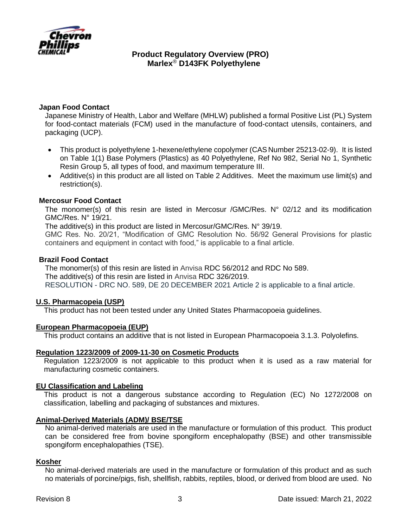

## **Japan Food Contact**

Japanese Ministry of Health, Labor and Welfare (MHLW) published a formal Positive List (PL) System for food-contact materials (FCM) used in the manufacture of food-contact utensils, containers, and packaging (UCP).

- This product is polyethylene 1-hexene/ethylene copolymer (CAS Number 25213-02-9). It is listed on Table 1(1) Base Polymers (Plastics) as 40 Polyethylene, Ref No 982, Serial No 1, Synthetic Resin Group 5, all types of food, and maximum temperature III.
- Additive(s) in this product are all listed on Table 2 Additives. Meet the maximum use limit(s) and restriction(s).

### **Mercosur Food Contact**

The monomer(s) of this resin are listed in Mercosur /GMC/Res. N° 02/12 and its modification GMC/Res. N° 19/21.

The additive(s) in this product are listed in Mercosur/GMC/Res. N° 39/19.

GMC Res. No. 20/21, "Modification of GMC Resolution No. 56/92 General Provisions for plastic containers and equipment in contact with food," is applicable to a final article.

## **Brazil Food Contact**

The monomer(s) of this resin are listed in Anvisa [RDC 56/2012 and RDC No](https://www.khlaw.com/Files/41980_RDC%20326-19%20-%20Lista%20positiva%20de%20aditivos%20destinados%20aa%20elaboracao%20de%20materiais%20plasticos%20e%20revestimentos%20polimericos%20em%20contato%20com%20alimentos.pdf) 589. The additive(s) of this resin are listed in Anvisa [RDC 326/2019.](https://www.khlaw.com/Files/41980_RDC%20326-19%20-%20Lista%20positiva%20de%20aditivos%20destinados%20aa%20elaboracao%20de%20materiais%20plasticos%20e%20revestimentos%20polimericos%20em%20contato%20com%20alimentos.pdf) RESOLUTION - DRC NO. 589, DE 20 DECEMBER 2021 Article 2 is applicable to a final article.

### **U.S. Pharmacopeia (USP)**

This product has not been tested under any United States Pharmacopoeia guidelines.

### **European Pharmacopoeia (EUP)**

This product contains an additive that is not listed in European Pharmacopoeia 3.1.3. Polyolefins.

### **Regulation 1223/2009 of 2009-11-30 on Cosmetic Products**

Regulation 1223/2009 is not applicable to this product when it is used as a raw material for manufacturing cosmetic containers.

### **EU Classification and Labeling**

This product is not a dangerous substance according to Regulation (EC) No 1272/2008 on classification, labelling and packaging of substances and mixtures.

### **Animal-Derived Materials (ADM)/ BSE/TSE**

No animal-derived materials are used in the manufacture or formulation of this product. This product can be considered free from bovine spongiform encephalopathy (BSE) and other transmissible spongiform encephalopathies (TSE).

### **Kosher**

No animal-derived materials are used in the manufacture or formulation of this product and as such no materials of porcine/pigs, fish, shellfish, rabbits, reptiles, blood, or derived from blood are used. No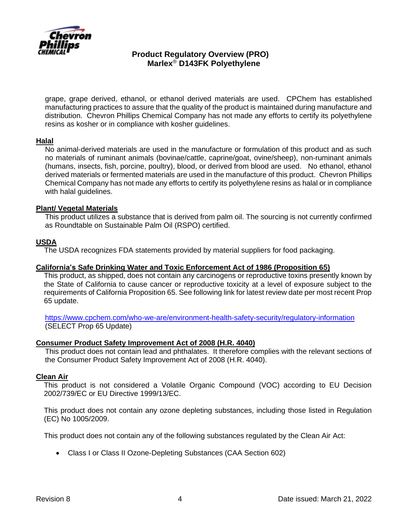

grape, grape derived, ethanol, or ethanol derived materials are used. CPChem has established manufacturing practices to assure that the quality of the product is maintained during manufacture and distribution. Chevron Phillips Chemical Company has not made any efforts to certify its polyethylene resins as kosher or in compliance with kosher guidelines.

### **Halal**

No animal-derived materials are used in the manufacture or formulation of this product and as such no materials of ruminant animals (bovinae/cattle, caprine/goat, ovine/sheep), non-ruminant animals (humans, insects, fish, porcine, poultry), blood, or derived from blood are used. No ethanol, ethanol derived materials or fermented materials are used in the manufacture of this product. Chevron Phillips Chemical Company has not made any efforts to certify its polyethylene resins as halal or in compliance with halal guidelines.

## **Plant/ Vegetal Materials**

This product utilizes a substance that is derived from palm oil. The sourcing is not currently confirmed as Roundtable on Sustainable Palm Oil (RSPO) certified.

## **USDA**

The USDA recognizes FDA statements provided by material suppliers for food packaging.

### **California's [Safe Drinking Water and Toxic Enforcement Act of 1986](http://www.oehha.ca.gov/prop65/law/P65law72003.html) (Proposition 65)**

This product, as shipped, does not contain any carcinogens or reproductive toxins presently known by the State of California to cause cancer or reproductive toxicity at a level of exposure subject to the requirements of California Proposition 65. See following link for latest review date per most recent Prop 65 update.

<https://www.cpchem.com/who-we-are/environment-health-safety-security/regulatory-information> (SELECT Prop 65 Update)

### **Consumer Product Safety Improvement Act of 2008 (H.R. 4040)**

This product does not contain lead and phthalates. It therefore complies with the relevant sections of the Consumer Product Safety Improvement Act of 2008 (H.R. 4040).

### **Clean Air**

This product is not considered a Volatile Organic Compound (VOC) according to EU Decision 2002/739/EC or EU Directive 1999/13/EC.

This product does not contain any ozone depleting substances, including those listed in Regulation (EC) No 1005/2009.

This product does not contain any of the following substances regulated by the Clean Air Act:

• Class I or Class II Ozone-Depleting Substances (CAA Section 602)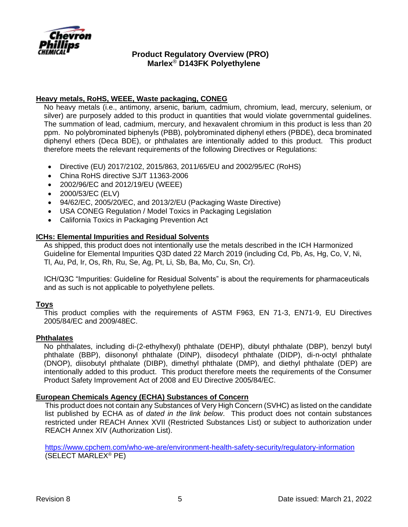

# **Heavy metals, RoHS, WEEE, Waste packaging, CONEG**

No heavy metals (i.e., antimony, arsenic, barium, cadmium, chromium, lead, mercury, selenium, or silver) are purposely added to this product in quantities that would violate governmental guidelines. The summation of lead, cadmium, mercury, and hexavalent chromium in this product is less than 20 ppm. No polybrominated biphenyls (PBB), polybrominated diphenyl ethers (PBDE), deca brominated diphenyl ethers (Deca BDE), or phthalates are intentionally added to this product. This product therefore meets the relevant requirements of the following Directives or Regulations:

- Directive (EU) 2017/2102, 2015/863, 2011/65/EU and 2002/95/EC (RoHS)
- China RoHS directive SJ/T 11363-2006
- 2002/96/EC and 2012/19/EU (WEEE)
- 2000/53/EC (ELV)
- 94/62/EC, 2005/20/EC, and 2013/2/EU (Packaging Waste Directive)
- USA CONEG Regulation / Model Toxics in Packaging Legislation
- California Toxics in Packaging Prevention Act

### **ICHs: Elemental Impurities and Residual Solvents**

As shipped, this product does not intentionally use the metals described in the ICH Harmonized Guideline for Elemental Impurities Q3D dated 22 March 2019 (including Cd, Pb, As, Hg, Co, V, Ni, Tl, Au, Pd, Ir, Os, Rh, Ru, Se, Ag, Pt, Li, Sb, Ba, Mo, Cu, Sn, Cr).

ICH/Q3C "Impurities: Guideline for Residual Solvents" is about the requirements for pharmaceuticals and as such is not applicable to polyethylene pellets.

### **Toys**

This product complies with the requirements of ASTM F963, EN 71-3, EN71-9, EU Directives 2005/84/EC and 2009/48EC.

### **Phthalates**

No phthalates, including di-(2-ethylhexyl) phthalate (DEHP), dibutyl phthalate (DBP), benzyl butyl phthalate (BBP), diisononyl phthalate (DINP), diisodecyl phthalate (DIDP), di-n-octyl phthalate (DNOP), diisobutyl phthalate (DIBP), dimethyl phthalate (DMP), and diethyl phthalate (DEP) are intentionally added to this product. This product therefore meets the requirements of the Consumer Product Safety Improvement Act of 2008 and EU Directive 2005/84/EC.

### **European Chemicals Agency (ECHA) Substances of Concern**

This product does not contain any Substances of Very High Concern (SVHC) as listed on the candidate list published by ECHA as of *dated in the link below*. This product does not contain substances restricted under REACH Annex XVII (Restricted Substances List) or subject to authorization under REACH Annex XIV (Authorization List).

<https://www.cpchem.com/who-we-are/environment-health-safety-security/regulatory-information> (SELECT MARLEX® PE)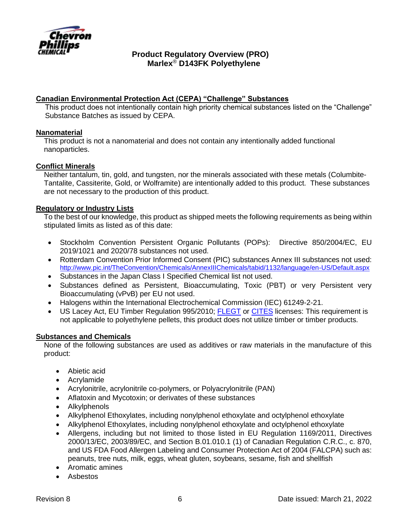

# **Canadian Environmental Protection Act (CEPA) "Challenge" Substances**

This product does not intentionally contain high priority chemical substances listed on the "Challenge" Substance Batches as issued by CEPA.

## **Nanomaterial**

This product is not a nanomaterial and does not contain any intentionally added functional nanoparticles.

## **Conflict Minerals**

Neither tantalum, tin, gold, and tungsten, nor the minerals associated with these metals (Columbite-Tantalite, Cassiterite, Gold, or Wolframite) are intentionally added to this product. These substances are not necessary to the production of this product.

## **Regulatory or Industry Lists**

To the best of our knowledge, this product as shipped meets the following requirements as being within stipulated limits as listed as of this date:

- Stockholm Convention Persistent Organic Pollutants (POPs): Directive 850/2004/EC, EU 2019/1021 and 2020/78 substances not used.
- Rotterdam Convention Prior Informed Consent (PIC) substances Annex III substances not used: <http://www.pic.int/TheConvention/Chemicals/AnnexIIIChemicals/tabid/1132/language/en-US/Default.aspx>
- Substances in the Japan Class I Specified Chemical list not used.
- Substances defined as Persistent, Bioaccumulating, Toxic (PBT) or very Persistent very Bioaccumulating (vPvB) per EU not used.
- Halogens within the International Electrochemical Commission (IEC) 61249-2-21.
- US Lacey Act, EU Timber Regulation 995/2010; [FLEGT](https://ec.europa.eu/environment/forests/flegt.htm) or [CITES](https://ec.europa.eu/environment/cites/index_en.htm) licenses: This requirement is not applicable to polyethylene pellets, this product does not utilize timber or timber products.

### **Substances and Chemicals**

None of the following substances are used as additives or raw materials in the manufacture of this product:

- Abietic acid
- Acrylamide
- Acrylonitrile, acrylonitrile co-polymers, or Polyacrylonitrile (PAN)
- Aflatoxin and Mycotoxin; or derivates of these substances
- Alkylphenols
- Alkylphenol Ethoxylates, including nonylphenol ethoxylate and octylphenol ethoxylate
- Alkylphenol Ethoxylates, including nonylphenol ethoxylate and octylphenol ethoxylate
- Allergens, including but not limited to those listed in EU Regulation 1169/2011, Directives 2000/13/EC, 2003/89/EC, and Section B.01.010.1 (1) of Canadian Regulation C.R.C., c. 870, and US FDA Food Allergen Labeling and Consumer Protection Act of 2004 (FALCPA) such as: peanuts, tree nuts, milk, eggs, wheat gluten, soybeans, sesame, fish and shellfish
- Aromatic amines
- Asbestos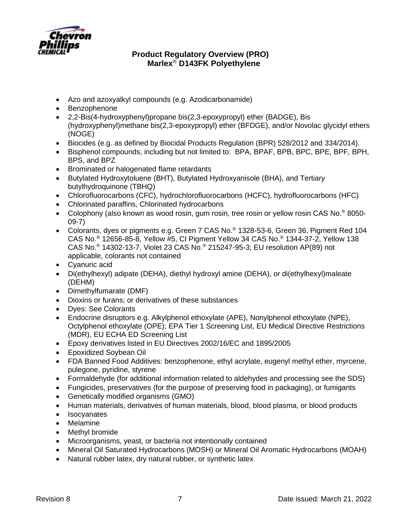

- Azo and azoxyalkyl compounds (e.g. Azodicarbonamide)
- Benzophenone
- 2,2-Bis(4-hydroxyphenyl)propane bis(2,3-epoxypropyl) ether (BADGE), Bis (hydroxyphenyl)methane bis(2,3-epoxypropyl) ether (BFDGE), and/or Novolac glycidyl ethers (NOGE)
- Biocides (e.g. as defined by Biocidal Products Regulation (BPR) 528/2012 and 334/2014).
- Bisphenol compounds, including but not limited to: BPA, BPAF, BPB, BPC, BPE, BPF, BPH, BPS, and BPZ
- Brominated or halogenated flame retardants
- Butylated Hydroxytoluene (BHT), Butylated Hydroxyanisole (BHA), and Tertiary butylhydroquinone (TBHQ)
- Chlorofluorocarbons (CFC), hydrochlorofluorocarbons (HCFC), hydrofluorocarbons (HFC)
- Chlorinated paraffins, Chlorinated hydrocarbons
- Colophony (also known as wood rosin, gum rosin, tree rosin or yellow rosin CAS No.<sup>®</sup> 8050-09-7)
- Colorants, dyes or pigments e.g. Green 7 CAS No.® 1328-53-6, Green 36, Pigment Red 104 CAS No.® 12656-85-8, Yellow #5, CI Pigment Yellow 34 CAS No.® 1344-37-2, Yellow 138 CAS No.® 14302-13-7, Violet 23 CAS No.® 215247-95-3; EU resolution AP(89) not applicable, colorants not contained
- Cyanuric acid
- Di(ethylhexyl) adipate (DEHA), diethyl hydroxyl amine (DEHA), or di(ethylhexyl)maleate (DEHM)
- Dimethylfumarate (DMF)
- Dioxins or furans; or derivatives of these substances
- Dyes: See Colorants
- Endocrine disruptors e.g. Alkylphenol ethoxylate (APE), Nonylphenol ethoxylate (NPE), Octylphenol ethoxylate (OPE); EPA Tier 1 Screening List, EU Medical Directive Restrictions (MDR), EU ECHA ED Screening List
- Epoxy derivatives listed in EU Directives 2002/16/EC and 1895/2005
- Epoxidized Soybean Oil
- FDA Banned Food Additives: benzophenone, ethyl acrylate, eugenyl methyl ether, myrcene, pulegone, pyridine, styrene
- Formaldehyde (for additional information related to aldehydes and processing see the SDS)
- Fungicides, preservatives (for the purpose of preserving food in packaging), or fumigants
- Genetically modified organisms (GMO)
- Human materials, derivatives of human materials, blood, blood plasma, or blood products
- **Isocyanates**
- Melamine
- Methyl bromide
- Microorganisms, yeast, or bacteria not intentionally contained
- Mineral Oil Saturated Hydrocarbons (MOSH) or Mineral Oil Aromatic Hydrocarbons (MOAH)
- Natural rubber latex, dry natural rubber, or synthetic latex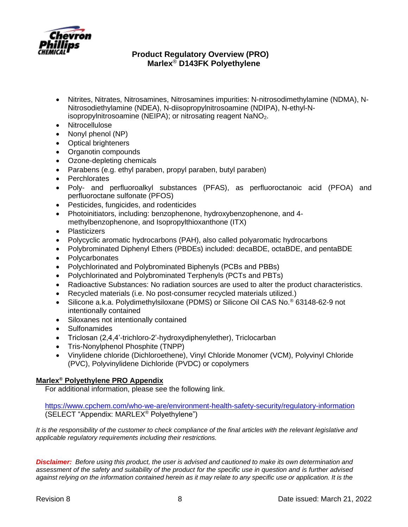

- Nitrites, Nitrates, Nitrosamines, Nitrosamines impurities: N-nitrosodimethylamine (NDMA), N-Nitrosodiethylamine (NDEA), N-diisopropylnitrosoamine (NDIPA), N-ethyl-Nisopropylnitrosoamine (NEIPA); or nitrosating reagent NaNO<sub>2</sub>.
- Nitrocellulose
- Nonyl phenol (NP)
- Optical brighteners
- Organotin compounds
- Ozone-depleting chemicals
- Parabens (e.g. ethyl paraben, propyl paraben, butyl paraben)
- **Perchlorates**
- Poly- and perfluoroalkyl substances (PFAS), as perfluoroctanoic acid (PFOA) and perfluoroctane sulfonate (PFOS)
- Pesticides, fungicides, and rodenticides
- Photoinitiators, including: benzophenone, hydroxybenzophenone, and 4 methylbenzophenone, and Isopropylthioxanthone (ITX)
- Plasticizers
- Polycyclic aromatic hydrocarbons (PAH), also called polyaromatic hydrocarbons
- Polybrominated Diphenyl Ethers (PBDEs) included: decaBDE, octaBDE, and pentaBDE
- **Polycarbonates**
- Polychlorinated and Polybrominated Biphenyls (PCBs and PBBs)
- Polychlorinated and Polybrominated Terphenyls (PCTs and PBTs)
- Radioactive Substances: No radiation sources are used to alter the product characteristics.
- Recycled materials (i.e. No post-consumer recycled materials utilized.)
- Silicone a.k.a. Polydimethylsiloxane (PDMS) or Silicone Oil CAS No.® 63148-62-9 not intentionally contained
- Siloxanes not intentionally contained
- Sulfonamides
- Triclosan (2,4,4'-trichloro-2'-hydroxydiphenylether), Triclocarban
- Tris-Nonylphenol Phosphite (TNPP)
- Vinylidene chloride (Dichloroethene), Vinyl Chloride Monomer (VCM), Polyvinyl Chloride (PVC), Polyvinylidene Dichloride (PVDC) or copolymers

# **Marlex® Polyethylene PRO Appendix**

For additional information, please see the following link.

<https://www.cpchem.com/who-we-are/environment-health-safety-security/regulatory-information> (SELECT "Appendix: MARLEX® Polyethylene")

It is the responsibility of the customer to check compliance of the final articles with the relevant legislative and *applicable regulatory requirements including their restrictions.*

*Disclaimer: Before using this product, the user is advised and cautioned to make its own determination and assessment of the safety and suitability of the product for the specific use in question and is further advised against relying on the information contained herein as it may relate to any specific use or application. It is the*